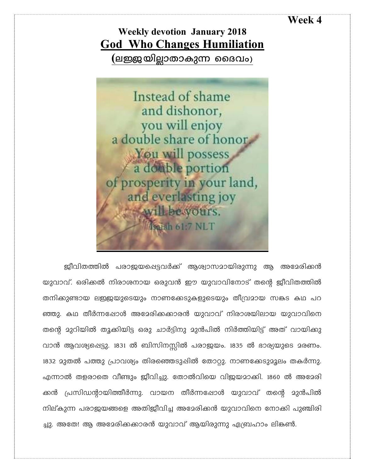## **Week 4**

## **Weekly devotion January 2018 God Who Changes Humiliation (-eÖ-bn-Ãm-Xm-Ip¶ ssZhw)**



ജീവിതത്തിൽ പരാജയപ്പെട്ടവർക്ക് ആശ്വാസമായിരുന്നു ആ അമേരിക്കൻ യുവാവ്. ഒരിക്കൽ നിരാശനായ ഒരുവൻ ഈ യുവാവിനോട് തന്റെ ജീവിതത്തിൽ തനിക്കുണ്ടായ ലഇജയുടെയും നാണക്കേടുകളുടെയും തീവ്രമായ സങ്കട കഥ പറ ഞ്ഞു. കഥ തീർന്നഷോൾ അമേരിക്കക്കാരൻ യുവാവ് നിരാശയിലായ യുവാവിനെ തന്റെ മുറിയിൽ തൂക്കിയിട്ട ഒരു ചാർട്ടിനു മുൻപിൽ നിർത്തിയിട്ട് അത് വായിക്കു വാൻ ആവശ്യപ്പെട്ടു. 1831 ൽ ബിസിനസ്സിൽ പരാജയം. 1835 ൽ ഭാര്യയുടെ മരണം. 1832 മുതൽ പത്തു പ്രാവശ്യം തിരഞ്ഞെടുഷിൽ തോറ്റു. നാണക്കേടുമൂലം തകർന്നു. എന്നാൽ തളരാതെ വീണ്ടും ജീവിച്ചു. തോൽവിയെ വിജയമാക്കി. 1860 ൽ അമേരി ക്കൻ പ്രസിഡന്റായിത്തീർന്നു. വായന തീർന്നപ്പോൾ യുവാവ് തന്റെ മുൻപിൽ നില്കുന്ന പരാജയങ്ങളെ അതിജീവിച്ച അമേരിക്കൻ യുവാവിനെ നോക്കി പുഞ്ചിരി ച്ചു. അതേ! ആ അമേരിക്കക്കാരൻ യുവാവ് ആയിരുന്നു ഏബ്രഹാം ലികൺ.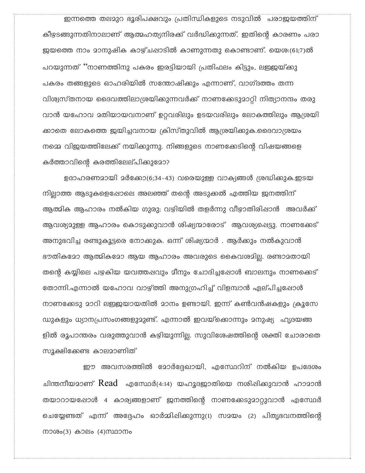ഇന്നത്തെ തലമുറ ഭൂരിപക്ഷവും പ്രതിന്ധികളുടെ നടുവിൽ പരാജയത്തിന് കീഴടങ്ങുന്നതിനാലാണ് ആത്മഹത്യനിരക്ക് വർദ്ധിക്കുന്നത്. ഇതിന്റെ കാരണം പരാ ജയത്തെ നാം മാനുഷിക കാഴ്ചപ്പാടിൽ കാണുന്നതു കൊണ്ടാണ്. യെശ:(61;7)ൽ പറയുന്നത് ''നാണത്തിനു പകരം ഇരട്ടിയായി പ്രതിഫലം കിട്ടും, ലഇജയ്ക്കു പകരം തങ്ങളുടെ ഓഹരിയിൽ സന്തോഷിക്കും എന്നാണ്, വാഗ്ദത്തം തന്ന വിശ്വസ്തനായ ദൈവത്തിലാശ്രയിക്കുന്നവർക്ക് നാണക്കേടുമാറ്റി നിത്യാനന്ദം തരു വാൻ യഹോവ മതിയായവനാണ് ഉറവരിലും ഉടയവരിലും ലോകത്തിലും ആശ്രയി ക്കാതെ ലോകത്തെ ഇയിച്ചവനായ ക്രിസ്തുവിൽ ആശ്രയിക്കുക.ദൈവാശ്രയം നമ്മെ വിജയത്തിലേക്ക് നയിക്കുന്നു. നിങ്ങളുടെ നാണക്കേടിന്റെ വിഷയങ്ങളെ കർത്താവിന്റെ കരത്തിലേല്പിക്കുമോ?

ഉദാഹരണമായി മർക്കോ(6;34-43) വരെയുള്ള വാക്യങ്ങൾ ശ്രദ്ധിക്കുക.ഇടയ നില്ലാത്ത ആടുകളെഷോലെ അലഞ്ഞ് തന്റെ അടുക്കൽ എത്തിയ ജനത്തിന് ആത്മിക ആഹാരം നൽകിയ ഗുരു; വഴിയിൽ തളർന്നു വീഴാതിരിഷാൻ അവർക്ക് ആവശ്യമുള്ള ആഹാരം കൊടുക്കുവാൻ ശിഷ്യന്മാരോട് ആവശ്യപ്പെട്ടു. നാണക്കേട് അനുഭവിച്ച രണ്ടുകൂട്ടരെ നോക്കുക. ഒന്ന് ശിഷ്യന്മാർ . ആർക്കും നൽകുവാൻ ഭൗതികമോ ആത്മികമോ ആയ ആഹാരം അവരുടെ കൈവശമില്ല. രണ്ടാമതായി തന്റെ കയ്യിലെ പഴകിയ യവത്തഷവും മീനും ചോദിച്ചപ്പോൾ ബാലനും നാണക്കെട് തോന്നി.എന്നാൽ യഹോവ വാഴ്ത്തി അനുഗ്രഹിച്ച് വിളമ്പാൻ ഏല്പിച്ചപ്പോൾ നാണക്കേടു മാറി ലഇജയായതിൽ മാനം ഉണ്ടായി. ഇന്ന് കൺവൻഷകളും ക്രൂസേ ഡുകളും ധ്യാനപ്രസംഗങ്ങളുമുണ്ട്. എന്നാൽ ഇവയ്ക്കൊന്നും മനുഷ്യ ഹൃദയങ്ങ ളിൽ രൂപാന്തരം വരുത്തുവാൻ കഴിയുന്നില്ല. സുവിശേഷത്തിന്റെ ശക്തി ചോരാതെ സുക്ഷിക്കേണ്ട കാലമാണിത്

ഈ അവസരത്തിൽ മോർദ്ദേഖായി, എസ്ഥേറിന് നൽകിയ ഉപദേശം ചിന്തനീയമാണ്  $Read$  എസ്ഥേർ(4:14) യഹൂദജാതിയെ നശിഷിക്കുവാൻ ഹാമാൻ തയാറായപ്പോൾ 4 കാര്യങ്ങളാണ് ജനത്തിന്റെ നാണക്കേടുമാറ്റുവാൻ എസ്ഥേർ ചെയ്യേണ്ടത് എന്ന് അദ്ദേഹം ഓർമ്മിഷിക്കുന്നു(1) സമയം (2) പിതൃഭവനത്തിന്റെ നാശം(3) കാലം (4)സ്ഥാനം